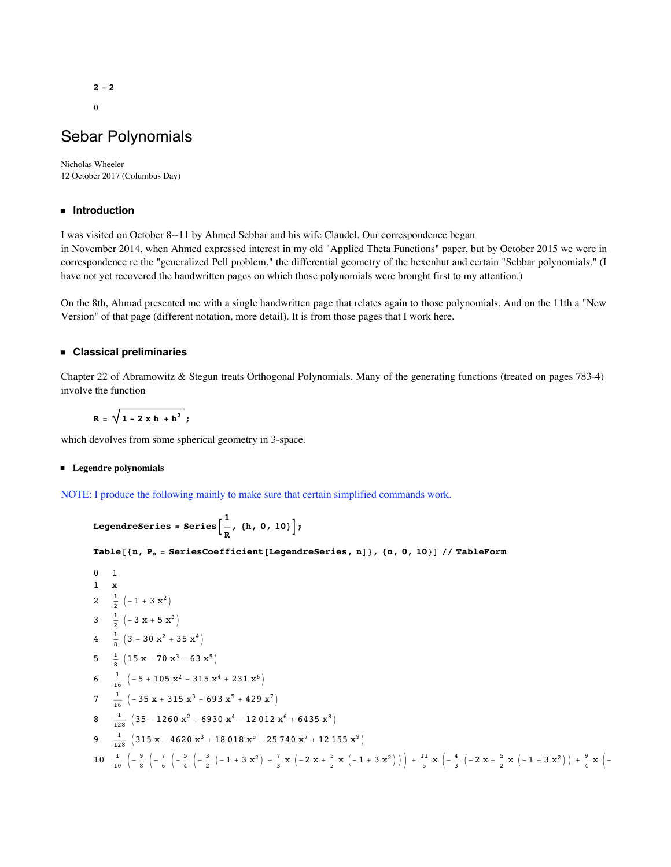**- 2**

# Sebar Polynomials

Nicholas Wheeler 12 October 2017 (Columbus Day)

# **ü Introduction**

I was visited on October 8--11 by Ahmed Sebbar and his wife Claudel. Our correspondence began in November 2014, when Ahmed expressed interest in my old "Applied Theta Functions" paper, but by October 2015 we were in correspondence re the "generalized Pell problem," the differential geometry of the hexenhut and certain "Sebbar polynomials." (I have not yet recovered the handwritten pages on which those polynomials were brought first to my attention.)

On the 8th, Ahmad presented me with a single handwritten page that relates again to those polynomials. And on the 11th a "New Version" of that page (different notation, more detail). It is from those pages that I work here.

# **ü Classical preliminaries**

Chapter 22 of Abramowitz & Stegun treats Orthogonal Polynomials. Many of the generating functions (treated on pages 783-4) involve the function

$$
R = \sqrt{1-2x h + h^2} ;
$$

which devolves from some spherical geometry in 3-space.

## **ü Legendre polynomials**

NOTE: I produce the following mainly to make sure that certain simplified commands work.

```
l<br>- DegendreSeries = Series
                             R
                               , 8h, 0, 10<F;
```

```
Table@8n, Pn = SeriesCoefficient@LegendreSeries, nD<, 8n, 0, 10<D êê TableForm
```
0 1  
\n1 x  
\n2 
$$
\frac{1}{2}
$$
 (-1 + 3 x<sup>2</sup>)  
\n3  $\frac{1}{2}$  (-3 x + 5 x<sup>3</sup>)  
\n4  $\frac{1}{8}$  (3 - 30 x<sup>2</sup> + 35 x<sup>4</sup>)  
\n5  $\frac{1}{8}$  (15 x - 70 x<sup>3</sup> + 63 x<sup>5</sup>)  
\n6  $\frac{1}{16}$  (-5 + 105 x<sup>2</sup> - 315 x<sup>4</sup> + 231 x<sup>6</sup>)  
\n7  $\frac{1}{16}$  (-35 x + 315 x<sup>3</sup> - 693 x<sup>5</sup> + 429 x<sup>7</sup>)  
\n8  $\frac{1}{128}$  (35 - 1260 x<sup>2</sup> + 6930 x<sup>4</sup> - 12012 x<sup>6</sup> + 6435 x<sup>8</sup>)  
\n9  $\frac{1}{128}$  (315 x - 4620 x<sup>3</sup> + 18018 x<sup>5</sup> - 25740 x<sup>7</sup> + 12155 x<sup>9</sup>)  
\n10  $\frac{1}{10}$  (- $\frac{9}{8}$  (- $\frac{7}{6}$  (- $\frac{5}{4}$  (- $\frac{3}{2}$  (-1 + 3 x<sup>2</sup>)) +  $\frac{7}{3}$  x (-2 x +  $\frac{5}{2}$  x (-1 + 3 x<sup>2</sup>))) +  $\frac{11}{5}$  x (- $\frac{4}{3}$  (-2 x +  $\frac{5}{2}$  x (-1 + 3 x<sup>2</sup>)) +  $\frac{9}{4}$  x (-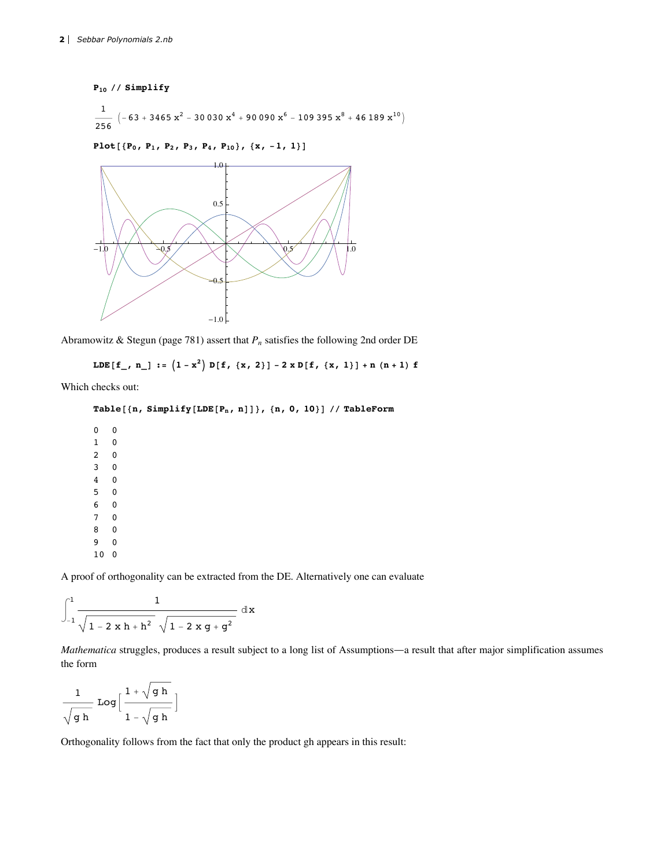```
P_{10} // Simplify
 \frac{1}{256} \left(-63 + 3465 \text{ x}^2 - 30030 \text{ x}^4 + 90090 \text{ x}^6 - 109395 \text{ x}^8 + 46189 \text{ x}^{10}\right)Plot[\{P_0, P_1, P_2, P_3, P_4, P_{10}\}, \{x, -1, 1\}]1.0
```


Abramowitz & Stegun (page 781) assert that  $P_n$  satisfies the following 2nd order DE

LDE $[f_{r}, n_{r}] := (1 - x^{2}) D[f, {x, 2}] - 2 x D[f, {x, 1}] + n (n + 1) f$ 

Which checks out:

```
Table@8n, Simplify@LDE@Pn, nDD<, 8n, 0, 10<D êê TableForm
```
A proof of orthogonality can be extracted from the DE. Alternatively one can evaluate

$$
\int_{-1}^{1} \frac{1}{\sqrt{1-2\,x\,h+h^2}\,\sqrt{1-2\,x\,g+g^2}}\,\,dx
$$

*Mathematica* struggles, produces a result subject to a long list of Assumptions—a result that after major simplification assumes the form

1 g h Log $\vert$  $1 + \sqrt{g h}$  $1 - \sqrt{g h}$  $\overline{\phantom{a}}$ 

Orthogonality follows from the fact that only the product gh appears in this result: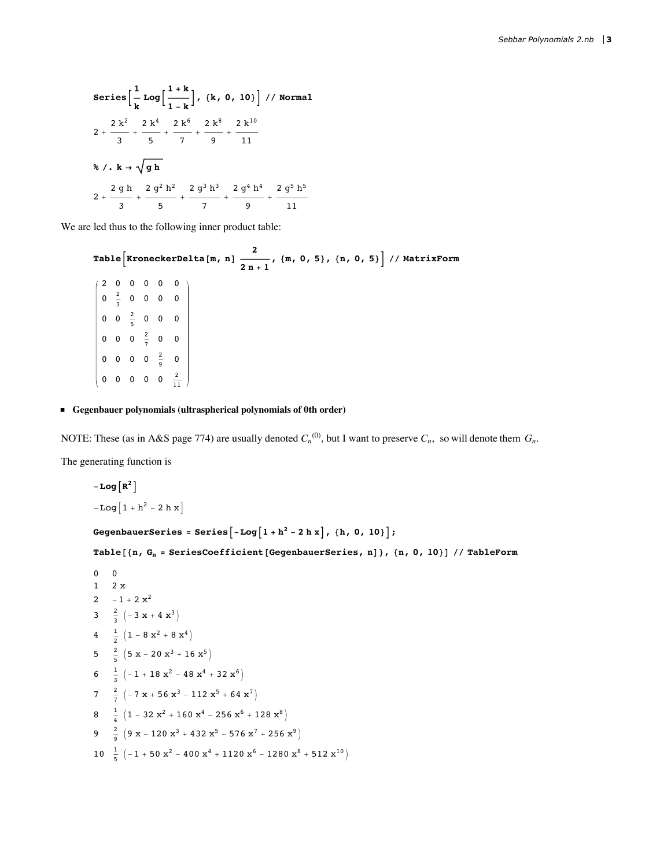Series 
$$
\left[\frac{1}{k} Log\left[\frac{1+k}{1-k}\right], \{k, 0, 10\}\right] / / Normal
$$
  
\n $2 + \frac{2k^2}{3} + \frac{2k^4}{5} + \frac{2k^6}{7} + \frac{2k^8}{9} + \frac{2k^{10}}{11}$   
\n $\sqrt[8]{k} \cdot k \rightarrow \sqrt{gh}$   
\n $2 + \frac{2gh}{3} + \frac{2g^2h^2}{5} + \frac{2g^3h^3}{7} + \frac{2g^4h^4}{9} + \frac{2g^5h^5}{11}$ 

We are led thus to the following inner product table:

Table  $\left[\text{KroneckerDelta}[\text{m}, n] \xrightarrow{2} \frac{2}{2n+1}, \{\text{m}, 0, 5\}, \{\text{n}, 0, 5\}\right]$  // MatrixForm  $(2 0 0 0 0 0)$  $\left| \begin{array}{cccc} 0 & \frac{2}{3} & 0 & 0 & 0 & 0 \end{array} \right|$  $\begin{array}{|rrrrrr} 0 & 0 & \frac{2}{5} & 0 & 0 & 0 \end{array}$  $\begin{array}{|ccc|} 0 & 0 & 0 & \frac{2}{7} & 0 & 0 \end{array}$  $\Big| \begin{array}{ccccccccc} 0 & 0 & 0 & 0 & \frac{2}{9} & 0 \end{array}$  $\begin{pmatrix} 0 & 0 & 0 & 0 & 0 & \frac{2}{11} \end{pmatrix}$ 

### Gegenbauer polynomials (ultraspherical polynomials of 0th order)

NOTE: These (as in A&S page 774) are usually denoted  $C_n^{(0)}$ , but I want to preserve  $C_n$ , so will denote them  $G_n$ .

The generating function is

```
-Log[R^2]-Log[1 + h^2 - 2 h x]GegenbauerSeries = Series [-Log[1 + h^2 - 2 h x], {h, 0, 10} ;
Table[{n, G_n = SeriesCoefficient[GegenbauerSeries, n]}, {n, 0, 10}] // TableForm
0\qquad 01 \quad 2 \times2 -1 + 2x^23 \frac{2}{3} \left(-3 \times + 4 \times^3\right)4 \frac{1}{2} (1 - 8 x^2 + 8 x^4)5 \frac{2}{5} \left(5 \times -20 \times^3 + 16 \times^5\right)6 \frac{1}{3} \left(-1+18 \text{ x}^2-48 \text{ x}^4+32 \text{ x}^6\right)7 \frac{2}{7} (-7 x + 56 x<sup>3</sup> - 112 x<sup>5</sup> + 64 x<sup>7</sup>)
8 \frac{1}{4} \left(1-32\ x^2+160\ x^4-256\ x^6+128\ x^8\right)9 \frac{2}{9} \left(9 \times -120 \times^3 + 432 \times^5 - 576 \times^7 + 256 \times^9\right)10 \frac{1}{5} \left(-1+50 \text{ x}^2-400 \text{ x}^4+1120 \text{ x}^6-1280 \text{ x}^8+512 \text{ x}^{10}\right)
```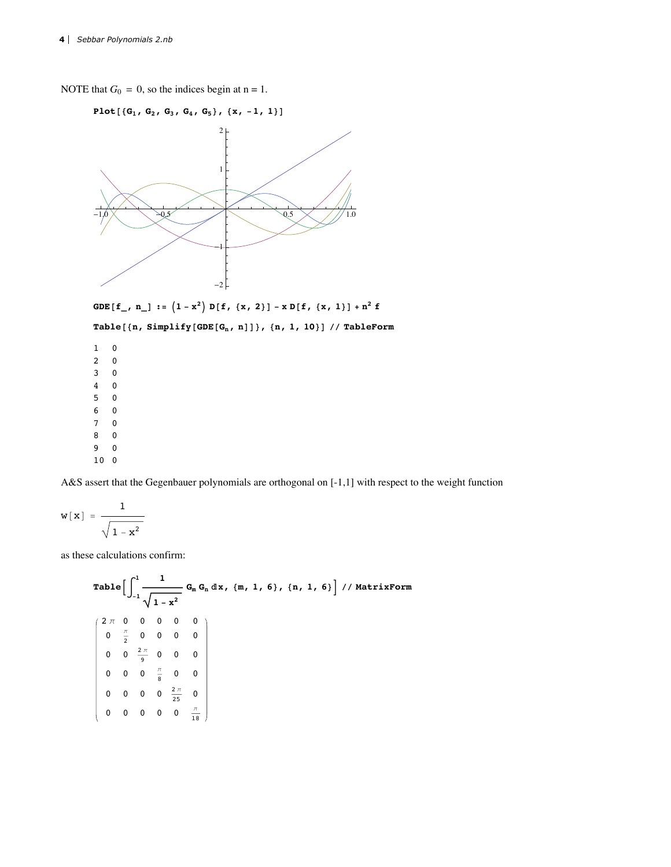NOTE that  $G_0 = 0$ , so the indices begin at  $n = 1$ .





**Table@8n, Simplify@GDE@Gn, nDD<, 8n, 1, 10<D êê TableForm**

A&S assert that the Gegenbauer polynomials are orthogonal on [-1,1] with respect to the weight function

$$
w\left[\,x\,\right]\ =\ \frac{1}{\sqrt{\,1-x^2\,}}
$$

as these calculations confirm:

Table 
$$
\left[\int_{-1}^{1} \frac{1}{\sqrt{1-x^2}} G_m G_n dx, \{m, 1, 6\}, \{n, 1, 6\}\right] // MatrixForm
$$
\n
$$
\left(\begin{array}{cccccc}\n2 \pi & 0 & 0 & 0 & 0 & 0 \\
0 & \frac{\pi}{2} & 0 & 0 & 0 & 0 \\
0 & 0 & \frac{2\pi}{9} & 0 & 0 & 0 \\
0 & 0 & 0 & \frac{\pi}{8} & 0 & 0 \\
0 & 0 & 0 & 0 & \frac{2\pi}{25} & 0 \\
0 & 0 & 0 & 0 & 0 & \frac{\pi}{18}\n\end{array}\right)
$$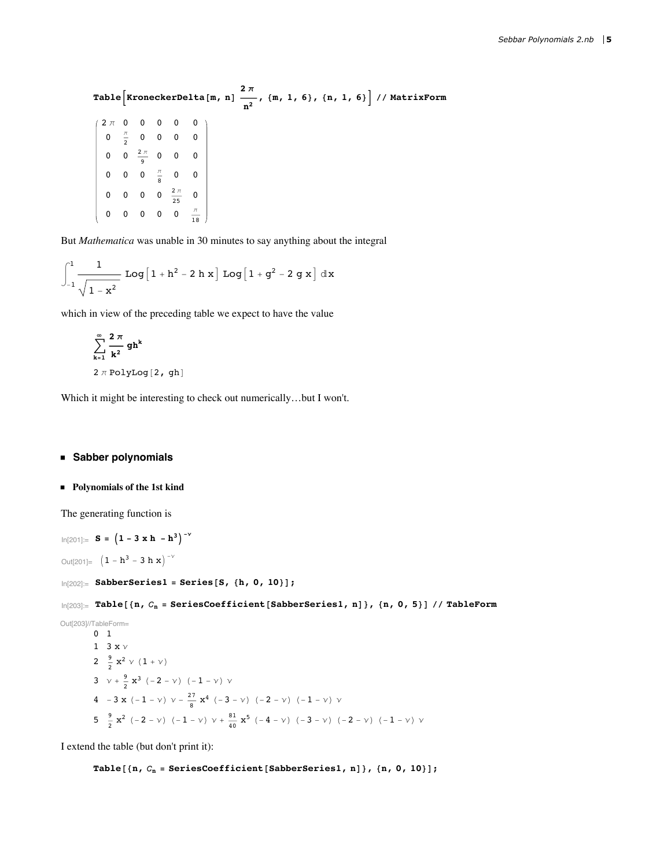Table  $\left[\texttt{KroneckerDelta[m,n]} \; \frac{2 \, \pi}{n^2}, \; \{\texttt{m, 1, 6}\}, \; \{\texttt{n, 1, 6}\} \; \right] \; \texttt{/} \; \texttt{MatrixForm}$  $2 \pi$  0 0 0 0 0  $0 \frac{\pi}{2}$  0 0 0 0 0 0  $\frac{2\pi}{9}$  0 0 0 0 0 0  $\frac{\pi}{8}$  0 0 0 0 0 0  $\frac{2\pi}{25}$  0 0 0 0 0 0  $\frac{\pi}{18}$ 

But *Mathematica* was unable in 30 minutes to say anything about the integral

$$
\int_{-1}^{1}\frac{1}{\sqrt{1-x^2}}\text{ Log}\Big[1+h^2-2\ h\ x\Big]\text{ Log}\Big[1+g^2-2\ g\ x\Big]\hspace{.05cm}\text{d}x
$$

which in view of the preceding table we expect to have the value

$$
\sum_{k=1}^{\infty} \frac{2 \pi}{k^2} gh^k
$$
  
2 \pi PolyLog[2, gh]

Which it might be interesting to check out numerically…but I won't.

# **ü Sabber polynomials**

#### **ü Polynomials of the 1st kind**

The generating function is

```
\ln[201]: = S = (1 - 3 \times h - h^3)^{-1}Out[201] = (1 - h^3 - 3 h x)^{-\gamma}In[202]:= SabberSeries1 = Series@S, 8h, 0, 10<D;
In[203]:= Table@8n, n = SeriesCoefficient@SabberSeries1, nD<, 8n, 0, 5<D êê TableForm
Out[203]//TableForm=
        0 1
        1 3 x y2 \frac{9}{2} x<sup>2</sup> \vee (1 + \vee)
         3 v + \frac{9}{2} x^3 (-2 - v) (-1 - v) v4 -3 x (-1 - \nu) \nu - \frac{27}{8} x<sup>4</sup> (-3 - \nu) (-2 - \nu) (-1 - \nu) \nu5\frac{9}{2} x^2 (-2 - v) (-1 - v) v + \frac{81}{40} x^5 (-4 - v) (-3 - v) (-2 - v) (-1 - v) v
```
I extend the table (but don't print it):

 $\text{Table}[\{\text{n}, C_{\text{n}} = \text{SeriesCoefficient}[\text{Sabberseries1, n}]\}, \{\text{n}, \text{0}, \text{10}\}\};$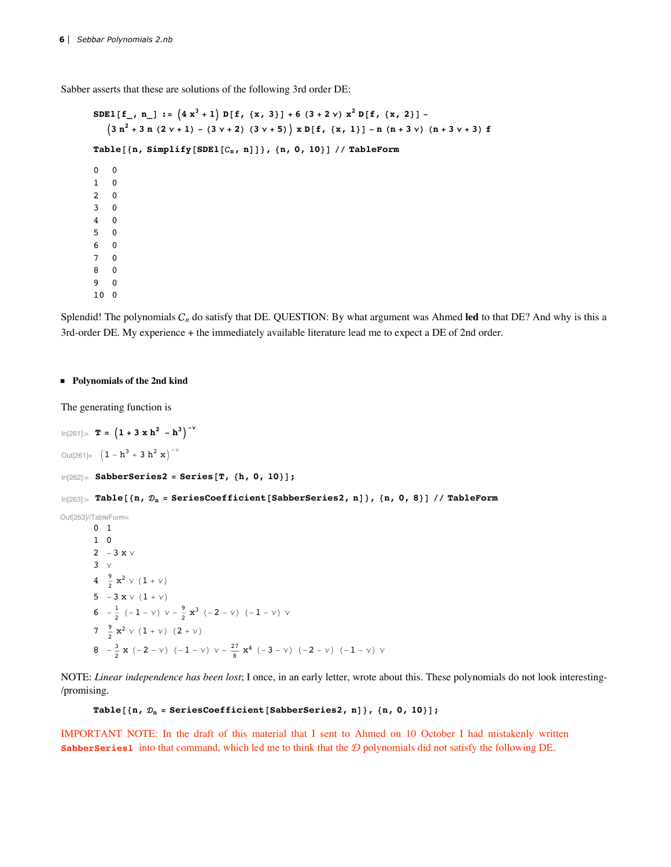Sabber asserts that these are solutions of the following 3rd order DE:

```
SDE1[f<sub>1</sub>, n<sub>1</sub>] := (4x^3 + 1) D[f, {x, 3}] + 6(3 + 2v) x^2 D[f, {x, 2}](3 n<sup>2</sup> + 3 n (2 v + 1) - (3 v + 2) (3 v + 5)) x D[f, {x, 1}] - n (n + 3 v) (n + 3 v + 3) fTable@8n, Simplify@SDE1@n, nDD<, 8n, 0, 10<D êê TableForm
0 0
1 0
2 0
3 0
4 0
5 0
6 0
7 0
8 0
9 0
10 0
```
Splendid! The polynomials  $C_n$  do satisfy that DE. QUESTION: By what argument was Ahmed **led** to that DE? And why is this a 3rd-order DE. My experience + the immediately available literature lead me to expect a DE of 2nd order.

#### **ü Polynomials of the 2nd kind**

The generating function is

```
\ln[261]: T = (1 + 3 \times h^2 - h^3)^{-1}Out[261] = (1 - h^3 + 3 h^2 x)^{-v}\ln[262] := SabberSeries2 = Series [T, {h, 0, 10}];
In[263]:= Table@8n, n = SeriesCoefficient@SabberSeries2, nD<, 8n, 0, 8<D êê TableForm
Out[263]//TableForm=
         0 1
         1 0
         2 -3 x y3\quad4 \frac{9}{2} x<sup>2</sup> \vee (1 + \vee)
         5 -3 x v (1 + v)6 - \frac{1}{2} (-1 - v) v - \frac{9}{2} x<sup>3</sup> (-2 - v) (-1 - v) v
         7 \frac{9}{2} x<sup>2</sup> \vee (1 + \vee) (2 + \vee)
         8 -\frac{3}{2} x (-2 - v) (-1 - v) v - \frac{27}{8} x<sup>4</sup> (-3 - v) (-2 - v) (-1 - v) v
```
**ü Substitutional sense in which the DEs are siblings**

NOTE: *Linear independence has been lost*; I once, in an early letter, wrote about this. These polynomials do not look interesting- /promising.

#### **Table** $[$ **(n,**  $\mathcal{D}_n$  = **SeriesCoefficient**[**SabberSeries2, n**] $)$ ,  $\{n, 0, 10\}$ ];

IMPORTANT NOTE: In the draft of this material that I sent to Ahmed on 10 October I had mistakenly written **SabberSeries1** into that command, which led me to think that the  $D$  polynomials did not satisfy the following DE.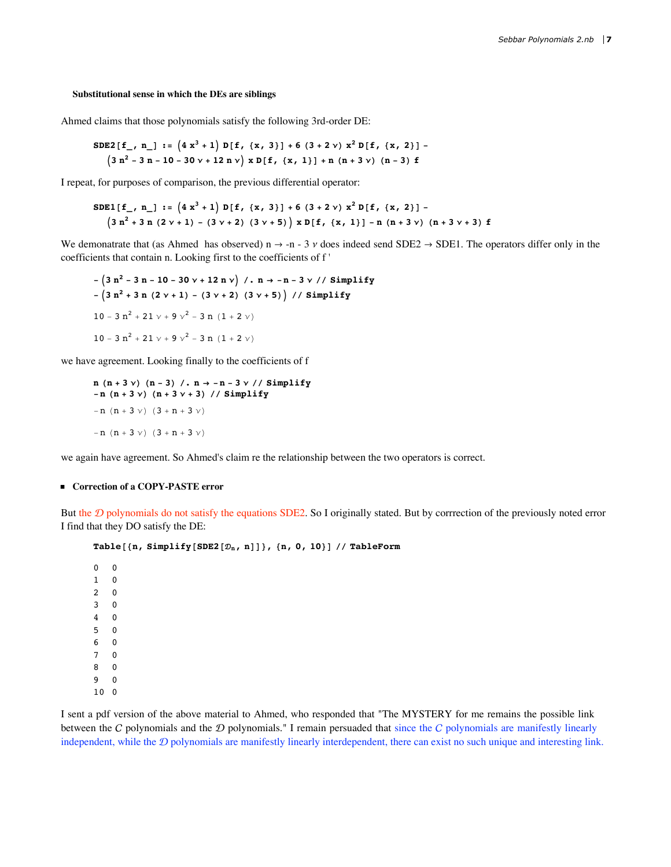#### Substitutional sense in which the DEs are siblings

Ahmed claims that those polynomials satisfy the following 3rd-order DE:

$$
SDE2[f_-, n_] := (4x^3 + 1) D[f, {x, 3}] + 6(3 + 2v) x^2 D[f, {x, 2}] -
$$
  

$$
(3n^2 - 3n - 10 - 30v + 12n v) x D[f, {x, 1}] + n (n + 3v) (n - 3) f
$$

I repeat, for purposes of comparison, the previous differential operator:

$$
SDE1[f_-, n_] := (4x^3 + 1) D[f, {x, 3}] + 6(3 + 2 \gamma) x^2 D[f, {x, 2}] -
$$
  

$$
(3n^2 + 3n (2 \gamma + 1) - (3 \gamma + 2) (3 \gamma + 5)) x D[f, {x, 1}] - n (n + 3 \gamma) (n + 3 \gamma + 3) f
$$

We demonatrate that (as Ahmed has observed)  $n \rightarrow -n - 3$  v does indeed send SDE2  $\rightarrow$  SDE1. The operators differ only in the coefficients that contain n. Looking first to the coefficients of f'

 $(3 n<sup>2</sup> - 3 n - 10 - 30 v + 12 n v)$  / . n  $\rightarrow$  -n - 3 v // Simplify  $-(3 n<sup>2</sup> + 3 n (2 v + 1) - (3 v + 2) (3 v + 5))$  // Simplify 10 - 3  $n^2$  + 21  $v$  + 9  $v^2$  - 3 n (1 + 2  $v$ ) 10 - 3  $n^2$  + 21  $v$  + 9  $v^2$  - 3 n (1 + 2  $v$ )

we have agreement. Looking finally to the coefficients of f

```
n (n + 3 \nu) (n - 3) /. n \rightarrow -n - 3 \nu // Simplify-n (n + 3 v) (n + 3 v + 3) // Simplify
-n (n + 3 \nu) (3 + n + 3 \nu)-n (n + 3 \nu) (3 + n + 3 \nu)
```
we again have agreement. So Ahmed's claim re the relationship between the two operators is correct.

## ■ Correction of a COPY-PASTE error

But the  $D$  polynomials do not satisfy the equations SDE2. So I originally stated. But by corrrection of the previously noted error I find that they DO satisfy the DE:

```
Table[{n, Simplify[SDE2[\mathcal{D}_n, n]]}, {n, 0, 10}] // TableForm
```
 $\mathbf 0$  $\mathbf 0$  $\mathbf{1}$  $\mathbf 0$  $\overline{2}$  $\mathbf 0$  $\mathbf{3}$  $\mathbf{0}$  $\overline{4}$  $\mathbf{0}$ 5  $\Omega$ 6  $\mathbf 0$  $\overline{7}$  $\Omega$ 8  $\mathbf 0$  $\overline{9}$  $\mathbf{0}$  $100$ 

I sent a pdf version of the above material to Ahmed, who responded that "The MYSTERY for me remains the possible link between the  $C$  polynomials and the  $D$  polynomials." I remain persuaded that since the  $C$  polynomials are manifestly linearly independent, while the  $D$  polynomials are manifestly linearly interdependent, there can exist no such unique and interesting link.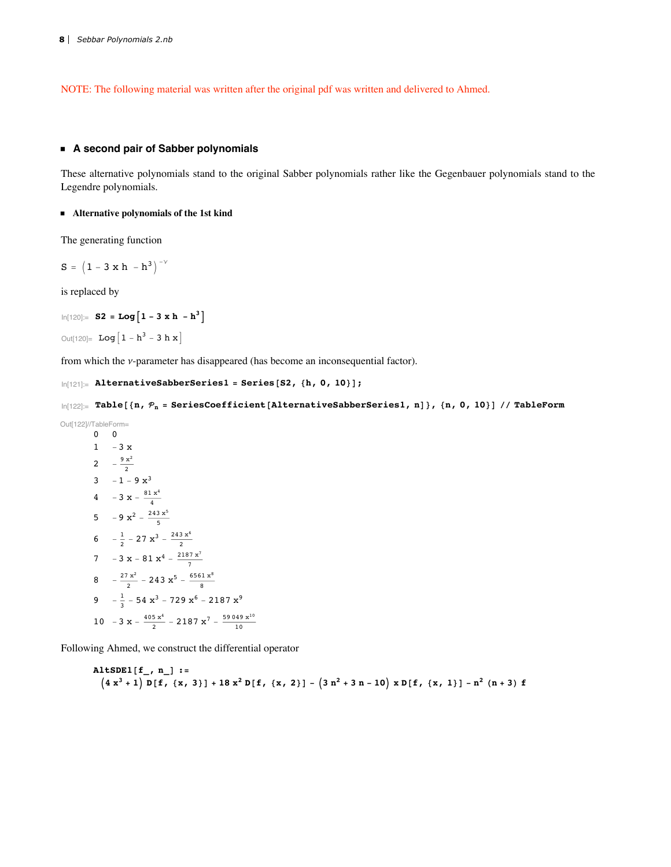NOTE: The following material was written after the original pdf was written and delivered to Ahmed.

#### **ü A second pair of Sabber polynomials**

These alternative polynomials stand to the original Sabber polynomials rather like the Gegenbauer polynomials stand to the Legendre polynomials.

#### **ü Alternative polynomials of the 1st kind**

The generating function

```
S = (1 - 3 \times h - h^3)^{-1}
```
is replaced by

```
ln[120] := S2 = Log\left[1 - 3 \times h - h^3\right]
```

```
Out[120]= Log[1 - h^3 - 3 h x]
```
from which the  $\nu$ -parameter has disappeared (has become an inconsequential factor).

```
\ln[121]: AlternativeSabberSeries1 = Series[S2, {h, 0, 10}];
```

```
\ln[122] := Table<sup>[</sup>{n, P_n = SeriesCoefficient<sup>[AlternativeSabberSeries1, n]}, {n, 0, 10}] // TableForm</sup>
```

```
Out[122]//TableForm=
            0 0
            1 -3 x2 -\frac{9 x^2}{2}3 -1 - 9x<sup>3</sup>4 - 3 x - \frac{81 x^4}{4}5 -9 x^2 - \frac{243 x^5}{5}6 -\frac{1}{2} – 27 \mathbf{x}^3 – \frac{243 \mathbf{x}^6}{2}7 - 3 x - 81 x<sup>4</sup> - \frac{2187 x^{7}}{7}8 -\frac{27 x^2}{2} - 243 x^5 - \frac{6561 x^8}{8}9 -\frac{1}{3} – 54 x^3 – 729 x^6 – 2187 x^910 -3 \times -\frac{405 \times 4}{2} - 2187 \times 7 - \frac{59049 \times 10}{10}
```
Following Ahmed, we construct the differential operator

**AltSDE1@f\_, n\_D :=**  $(4x<sup>3</sup>+1) D[f, {x, 3}] + 18x<sup>2</sup> D[f, {x, 2}] - (3n<sup>2</sup>+3n-10) x D[f, {x, 1}] - n<sup>2</sup> (n+3) f$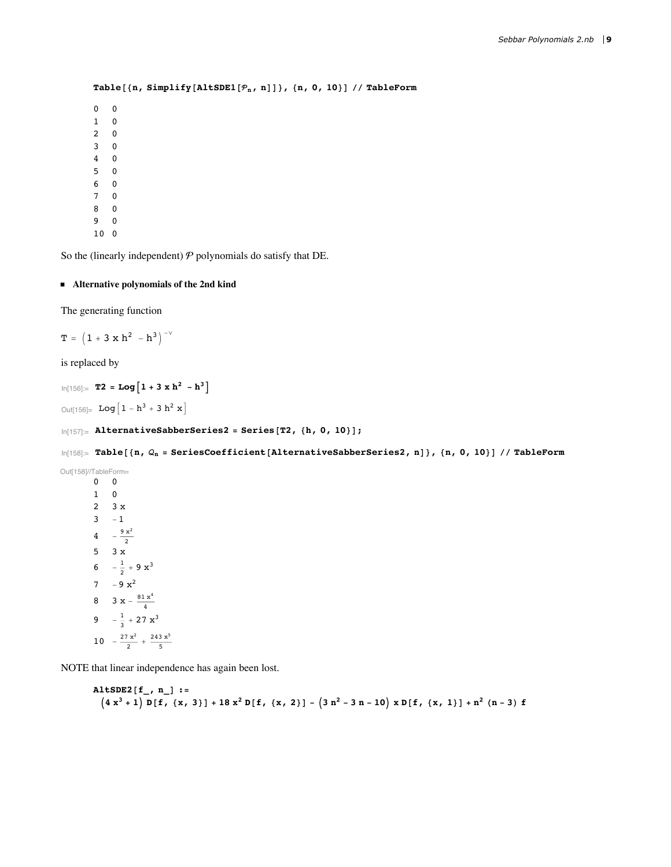```
Table@8n, Simplify@AltSDE1@n, nDD<, 8n, 0, 10<D êê TableForm
0 0
1 0
2 0
3 0
4 0
5 0
6 0
7 0
8 0
9 0
10 0
```
So the (linearly independent)  $P$  polynomials do satisfy that DE.

## **ü Alternative polynomials of the 2nd kind**

The generating function

 $T = (1 + 3 \times h^{2} - h^{3})^{-\gamma}$ 

is replaced by

```
ln[156] := T2 = Log\left[1 + 3 \times h^2 - h^3\right]
```
Out[156]=  $Log[1 - h^3 + 3 h^2 x]$ 

```
\ln[157]:= AlternativeSabberSeries2 = Series[T2, {h, 0, 10}];
```
 $\ln[158]$ := Table<sup>[</sup>{n,  $Q_n$  = SeriesCoefficient<sup>[AlternativeSabberSeries2, n]}, {n, 0, 10}] // TableForm</sup>

```
Out[158]//TableForm=
          0 0
          1 0
          2 3 x
          3 - 14 - \frac{9 x^2}{2}5 3 x
           6 -\frac{1}{2} + 9 \times^37 -9x^28 3 x - \frac{81 x^4}{4}9 -\frac{1}{3} + 27 \text{ x}^310 - \frac{27 x^2}{2} + \frac{243 x^5}{5}
```
NOTE that linear independence has again been lost.

```
AltSDE2@f_, n_D :=
  (4x<sup>3</sup> + 1) D[f, {x, 3}] + 18x<sup>2</sup> D[f, {x, 2}] - (3n<sup>2</sup> - 3n - 10) x D[f, {x, 1}] + n<sup>2</sup> (n-3) f
```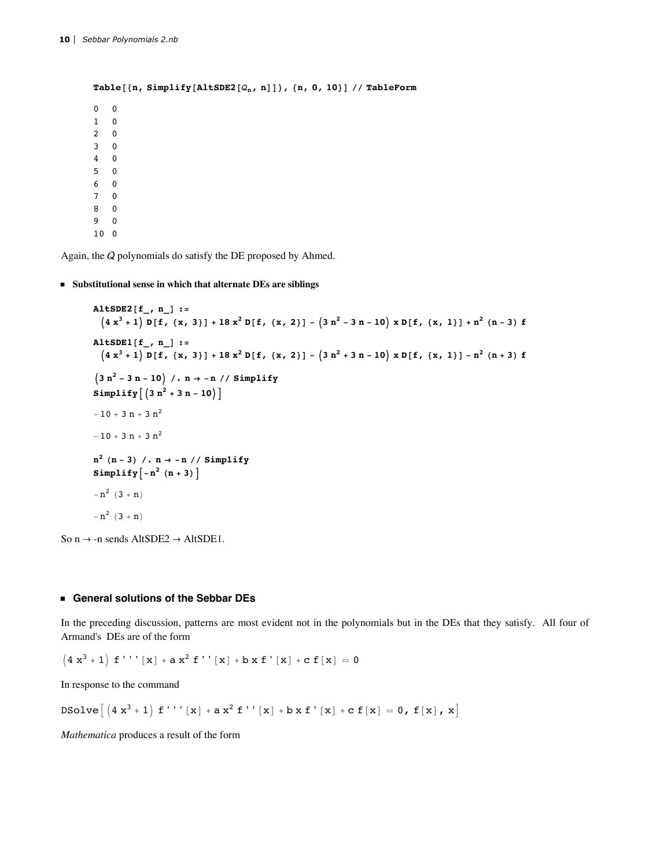```
Table[{n, Simplify[AltSDE2[Q_n, n]]}, {n, 0, 10}] // TableForm
        \overline{0}\Omega\mathbf{1}\mathbf 0\mathbf 0\overline{2}\mathbf{3}\overline{\mathbf{0}}\overline{4}\overline{\mathbf{0}}5<sup>5</sup>\overline{\mathbf{0}}6 0
\overline{7}\mathbf{0}8
        \overline{\mathbf{0}}\mathbf{q}\overline{0}100
```
Again, the  $Q$  polynomials do satisfy the DE proposed by Ahmed.

## Substitutional sense in which that alternate DEs are siblings

```
AltSDE2[f_n, n]:=
           (4x<sup>3</sup>+1) D[f, {x, 3}] + 18x<sup>2</sup> D[f, {x, 2}] - (3n<sup>2</sup> - 3n - 10) x D[f, {x, 1}] + n<sup>2</sup> (n-3) f\texttt{AltSDE1}[f_, n_]:=(4x<sup>3</sup>+1) D[f, {x, 3}] + 18x<sup>2</sup> D[f, {x, 2}] - (3n<sup>2</sup>+3n-10) x D[f, {x, 1}] - n<sup>2</sup> (n+3) f(3 n<sup>2</sup> - 3 n - 10) / n \rightarrow - n / / SimplifySimplify [(3 n<sup>2</sup> + 3 n - 10)]-10 + 3 n + 3 n<sup>2</sup>-10 + 3 n + 3 n^2n^2 (n - 3) /. n \rightarrow -n // Simplify
         Simplify \left[-n^2 (n+3)\right]-n^{2} (3 + n)
         -n^{2} (3 + n)
So n \rightarrow -n sends AltSDE2 \rightarrow AltSDE1.
```
#### General solutions of the Sebbar DEs

In the preceding discussion, patterns are most evident not in the polynomials but in the DEs that they satisfy. All four of Armand's DEs are of the form

 $(4x<sup>3</sup> + 1) f'''' [x] + ax<sup>2</sup> f'' [x] + bx f' [x] + c f[x] = 0$ 

In response to the command

DSolve  $(4x<sup>3</sup>+1) f'''' [x] + a x<sup>2</sup> f'' [x] + b x f' [x] + c f[x] = 0, f[x], x]$ 

Mathematica produces a result of the form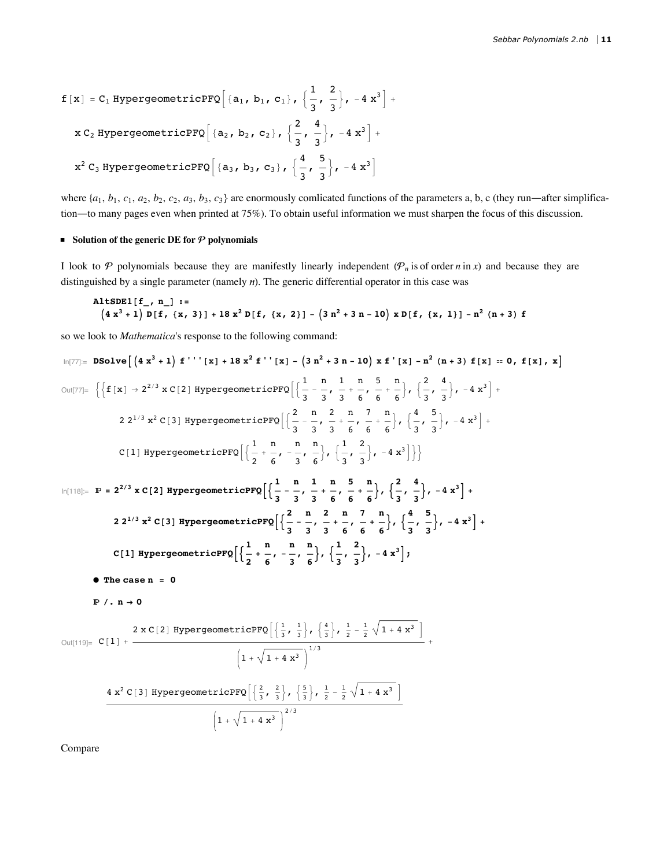$$
f[x] = C_1 \text{ HypergeometricPFQ}\left[\{a_1, b_1, c_1\}, \{\frac{1}{3}, \frac{2}{3}\}, -4x^3\right] + x C_2 \text{ HypergeometricPFQ}\left[\{a_2, b_2, c_2\}, \{\frac{2}{3}, \frac{4}{3}\}, -4x^3\right] + x^2 C_3 \text{ HypergeometricPFQ}\left[\{a_3, b_3, c_3\}, \{\frac{4}{3}, \frac{5}{3}\}, -4x^3\right]
$$

where  $\{a_1, b_1, c_1, a_2, b_2, c_2, a_3, b_3, c_3\}$  are enormously comlicated functions of the parameters a, b, c (they run—after simplification-to many pages even when printed at 75%). To obtain useful information we must sharpen the focus of this discussion.

#### Solution of the generic DE for  $P$  polynomials

I look to  $P$  polynomials because they are manifestly linearly independent  $(P_n)$  is of order n in x) and because they are distinguished by a single parameter (namely  $n$ ). The generic differential operator in this case was

\n
$$
\text{AltsDE1}[f_, n_]: =
$$
\n $\left(4 x^3 + 1\right) D[f, \{x, 3\} + 18 x^2 D[f, \{x, 2\}] - \left(3 n^2 + 3 n - 10\right) x D[f, \{x, 1\}] - n^2 (n + 3) f$ \n

so we look to Mathematica's response to the following command:

$$
10[77] = \text{ DSolve}\left[\left(4x^3+1\right) f'': \left[x\right] + 18x^2 f': \left[x\right] - \left(3n^2+3n-10\right)x f': \left[x\right] - n^2 (n+3) f[x] = 0, f[x], x\right]
$$
\n
$$
0u[77] = \left\{\left\{f[x] \rightarrow 2^{2/3} x C[2] \text{ HypergeometricPFQ}\left[\left(\frac{1}{3} - \frac{n}{3}, \frac{1}{3} + \frac{n}{6}, \frac{5}{6}, \frac{n}{6}\right), \left(\frac{2}{3}, \frac{4}{3}\right), -4x^3\right] + 22^{1/3} x^2 C[3] \text{ HypergeometricPPQ}\left[\left(\frac{2}{3} - \frac{n}{3}, \frac{2}{3} + \frac{n}{6}, \frac{7}{6}, \frac{n}{6}\right), \left(\frac{4}{3}, \frac{5}{3}\right), -4x^3\right] + 2[1] \text{ HypergeometricPPQ}\left[\left(\frac{1}{2} + \frac{n}{6}, -\frac{n}{3}, \frac{n}{3}\right), \left(\frac{1}{3}, \frac{2}{3}\right), -4x^3\right]\right\}
$$
\n
$$
10[118] = \mathbb{P} = 2^{2/3} x C[2] \text{ HypergeometricPPQ}\left[\left(\frac{1}{3} - \frac{n}{3}, \frac{1}{3} + \frac{n}{6}, \frac{5}{6} + \frac{n}{6}\right), \left(\frac{2}{3}, \frac{4}{3}\right), -4x^3\right] + 22^{1/3} x^2 C[3] \text{ HypergeometricPPQ}\left[\left(\frac{1}{3} - \frac{n}{3}, \frac{2}{3} + \frac{n}{6}, \frac{7}{6} + \frac{n}{6}\right), \left(\frac{2}{3}, \frac{4}{3}\right), -4x^3\right] + 2[1] \text{ hypergeometricPPQ}\left[\left(\frac{1}{3} - \frac{n}{3}, \frac{2}{3} + \frac{n}{6}, \frac{7}{6} + \frac{n}{6}\right), \left(\frac{4}{3}, \frac{5}{3}\right), -4x^3\right] + 2[1] \text{ hypergeometricPPQ}\left[\left(\frac{1}{3}, \frac{1}{3}\right), \left(\frac{1}{3}, \frac{2}{3}\right), -4x^3\right],
$$

Compare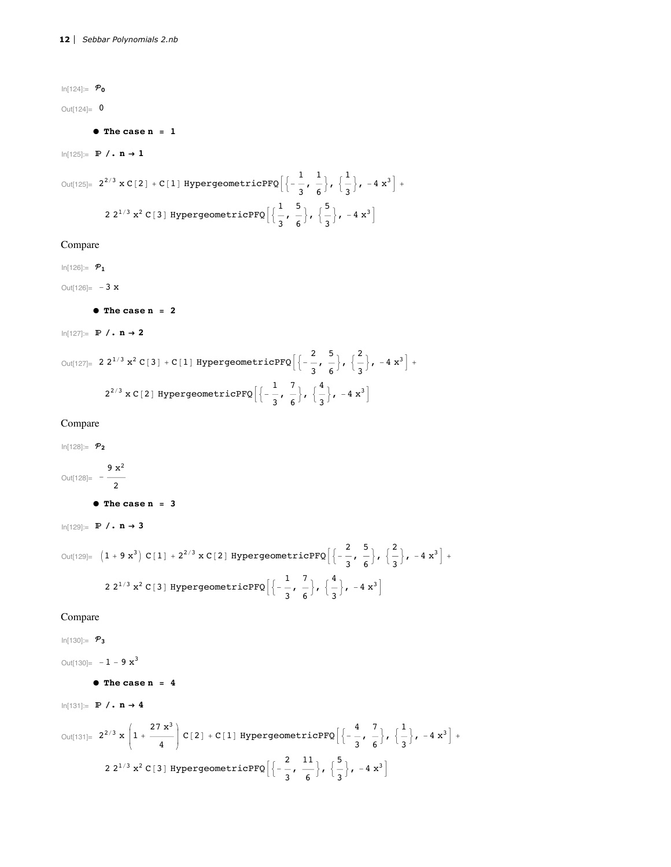$ln[124] = P_0$  $Out[124] = 0$ 

 $\bullet$  The case n = 1

 $ln[125] =$   $\mathbb{P}$  /.  $n \rightarrow 1$ 

Out[125]=  $2^{2/3}$  x C[2] + C[1] HypergeometricPFQ $\left[\left\{-\frac{1}{3}, \frac{1}{6}\right\}, \left\{\frac{1}{3}\right\}, -4 x^3\right]$  + 2 2<sup>1/3</sup> x<sup>2</sup> C[3] HypergeometricPFQ $\left[\frac{1}{3}, \frac{5}{6}\right], \left[\frac{5}{3}\right], -4 x^3$ 

## Compare

 $ln[126] = P_1$ 

Out[126]=  $-3 x$ 

 $\bullet$  The case n = 2

 $ln[127] =$   $\mathbb{P}$  /.  $n \rightarrow 2$ 

Out[127]= 2  $2^{1/3}$   $x^2$  C[3] + C[1] HypergeometricPFQ $\left[\left\{-\frac{2}{3}, \frac{5}{6}\right\}, \left\{\frac{2}{3}\right\}, -4 x^3\right]$  +  $2^{2/3}$  x C[2] HypergeometricPFQ $\left[\left\{-\frac{1}{3}, \frac{7}{6}\right\}, \left\{\frac{4}{3}\right\}, -4\right]$   $x^3$ 

# Compare

 $In[128] := P_2$ 

Out[128]=  $-\frac{9 \text{ x}^2}{2}$ 

 $\bullet$  The case n = 3

 $ln[129] =$   $\mathbb{P}$  /.  $n \rightarrow 3$ 

```
Out[129]= (1 + 9x^3) C[1] + 2^{2/3} x C[2] HypergeometricPFQ\left[\left\{-\frac{2}{3}, \frac{5}{6}\right\}, \left\{\frac{2}{3}\right\}, -4x^3\right] +2 2<sup>1/3</sup> x<sup>2</sup> C[3] HypergeometricPFQ\left[\left\{-\frac{1}{3}, \frac{7}{6}\right\}, \left\{\frac{4}{3}\right\}, -4\right] x<sup>3</sup>]
```
## Compare

 $ln[130] = P_3$ 

Out[130]=  $-1 - 9 x^3$ 

```
\bullet The case n = 4
```
 $ln[131] =$   $\mathbb{P}$  /.  $n \rightarrow 4$ 

$$
\text{Out[131]} = 2^{2/3} \times \left(1 + \frac{27 \times^3}{4}\right) C[2] + C[1] \text{ HypergeometricPFQ}\left[\left\{-\frac{4}{3}, \frac{7}{6}\right\}, \left\{\frac{1}{3}\right\}, -4 \times^3\right] + 2 2^{1/3} \times^2 C[3] \text{ HypergeometricPFQ}\left[\left\{-\frac{2}{3}, \frac{11}{6}\right\}, \left\{\frac{5}{3}\right\}, -4 \times^3\right]
$$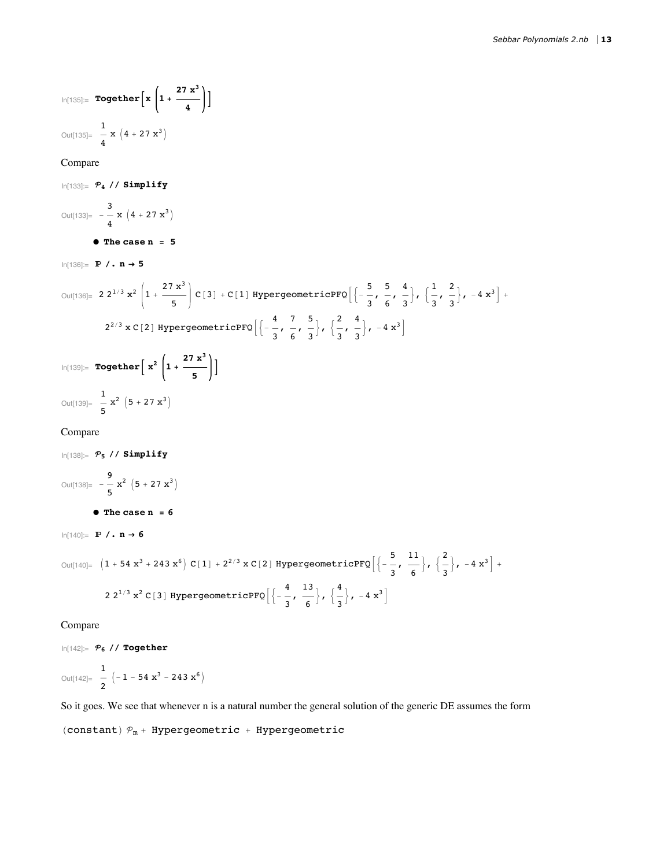$$
\ln[135] = \text{Together}\left[x\left(1 + \frac{27 x^3}{4}\right)\right]
$$
  
Out[135] =  $\frac{1}{4}x(4 + 27 x^3)$ 

#### Compare

```
In[133] = P_4 // Simplify
Out[133]= -\frac{3}{4} x (4 + 27 x^3)\bullet The case n = 5
ln[136] = \mathbb{P} /. n \rightarrow 5Out[136]= 2 2^{1/3} x^2 \left(1 + \frac{27 x^3}{5}\right) C[3] + C[1] HypergeometricPFQ\left[\left\{-\frac{5}{3}, \frac{5}{6}, \frac{4}{3}\right\}, \left\{\frac{1}{3}, \frac{2}{3}\right\}, -4 x^3\right] +2^{2/3} \times C[2] HypergeometricPFQ\left[\left\{-\frac{4}{3}, \frac{7}{6}, \frac{5}{3}\right\}, \left\{\frac{2}{3}, \frac{4}{3}\right\}, -4x^3\right]ln[139] = \text{Together} \left[ x^2 \left( 1 + \frac{27 x^3}{5} \right) \right]Out[139]= \frac{1}{2} \mathbf{x}^2 (5 + 27 \mathbf{x}^3)Compare
ln[138] = P_5 // Simplify
```
Out[138]=  $-\frac{9}{5}x^2(5 + 27x^3)$  $\bullet$  The case n = 6  $ln[140] =$   $\mathbb{P}$  /.  $n \rightarrow 6$ Out[140]=  $(1 + 54 x^3 + 243 x^6) C[1] + 2^{2/3} x C[2] HypergeometricPFQ\left[\left\{-\frac{5}{2}, \frac{11}{6}\right\}, \left\{\frac{2}{3}\right\}, -4 x^3\right] +$ 2 2<sup>1/3</sup> x<sup>2</sup> C[3] HypergeometricPFQ $\left[\left\{-\frac{4}{3}, \frac{13}{6}\right\}, \left\{\frac{4}{3}\right\}, -4\right]$  x<sup>3</sup>

Compare

 $ln[142] = P_6$  // Together Out[142]=  $\frac{1}{2}$   $\left(-1 - 54 x^3 - 243 x^6\right)$ 

So it goes. We see that whenever n is a natural number the general solution of the generic DE assumes the form

```
(constant) P_m + Hypergeometric + Hypergeometric
```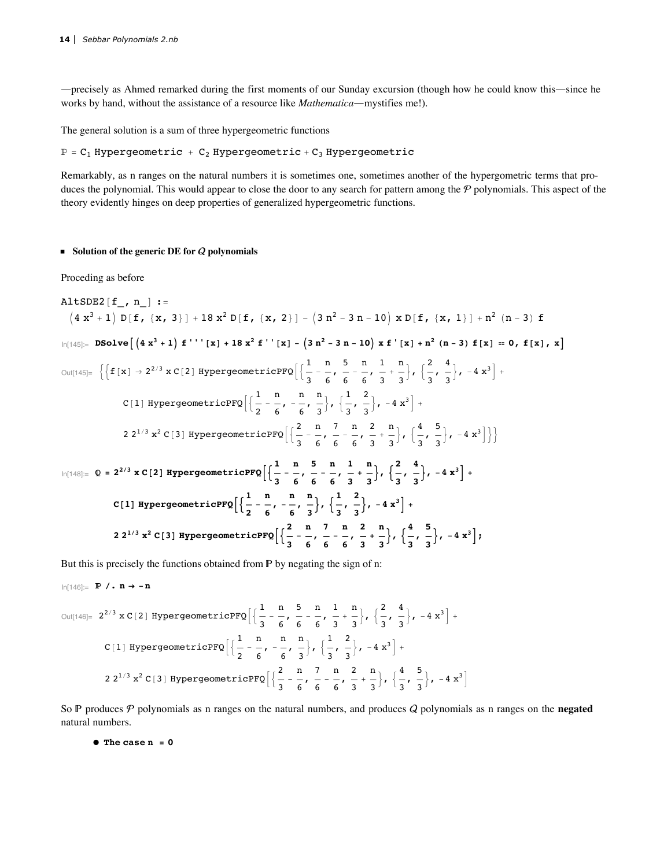-precisely as Ahmed remarked during the first moments of our Sunday excursion (though how he could know this—since he works by hand, without the assistance of a resource like Mathematica-mystifies me!).

The general solution is a sum of three hypergeometric functions

 $\mathbb{P}$  = C<sub>1</sub> Hypergeometric + C<sub>2</sub> Hypergeometric + C<sub>3</sub> Hypergeometric

Remarkably, as n ranges on the natural numbers it is sometimes one, sometimes another of the hypergometric terms that produces the polynomial. This would appear to close the door to any search for pattern among the  $P$  polynomials. This aspect of the theory evidently hinges on deep properties of generalized hypergeometric functions.

#### Solution of the generic DE for  $Q$  polynomials

Proceding as before

AltSDE2 
$$
[f_{p, n}] :=
$$

\n
$$
(4 x^{3} + 1) D[f, {x, 3}] + 18 x^{2} D[f, {x, 2}] - (3 n^{2} - 3 n - 10) x D[f, {x, 1}] + n^{2} (n - 3) f
$$
\n
$$
\ln[145] = DSolve \left[\left(4 x^{3} + 1\right) f''''[x] + 18 x^{2} f''[x] - \left(3 n^{2} - 3 n - 10\right) x f'[x] + n^{2} (n - 3) f[x] = 0, f[x], x\right]
$$
\n
$$
\text{Out}[145] = \left\{\left[f[x] \rightarrow 2^{2/3} x C[2] \text{ HypergeometricPPQ}\right]\left\{\frac{1}{3} - \frac{n}{6}, \frac{5}{6} - \frac{n}{6}, \frac{1}{3} + \frac{n}{3}\right\}, \left\{\frac{2}{3}, \frac{4}{3}\right\}, -4 x^{3}\right] +
$$
\n
$$
\text{C}[1] \text{ HypergeometricPPQ}\left[\left\{\frac{1}{2} - \frac{n}{6}, -\frac{n}{6}, \frac{n}{3}\right\}, \left\{\frac{1}{3}, \frac{2}{3}\right\}, -4 x^{3}\right] +
$$
\n
$$
2 2^{1/3} x^{2} C[3] \text{ HypergeometricPPQ}\left[\left\{\frac{2}{3} - \frac{n}{6}, -\frac{7}{6}, \frac{n}{3} + \frac{2}{3}\right\}, \left\{\frac{4}{3}, \frac{5}{3}\right\}, -4 x^{3}\right]\right\}
$$
\n
$$
\ln[148] = 0 = 2^{2/3} x C[2] \text{ HypergeometricPPQ}\left[\left\{\frac{1}{3} - \frac{n}{6}, \frac{5}{6} - \frac{n}{6}, \frac{1}{3} + \frac{n}{3}\right\}, \left\{\frac{2}{3}, \frac{4}{3}\right\}, -4 x^{3}\right] +
$$
\n
$$
\text{C}[1] \text{ HypergeometricPPQ}\left[\left\{\frac{1}{2} - \frac{n}{6}, -\frac{n}{6}, \frac{n}{3}\right\}, \left\{\frac{1}{3}, \frac{2}{3}\right\}, -4 x^{3}\right] +
$$
\n
$$
2 2^{1/3} x^{2} C[3]
$$

But this is precisely the functions obtained from  $P$  by negating the sign of n:

$$
\ln[146] := \mathbf{P} / \cdot \mathbf{n} \rightarrow -\mathbf{n}
$$

$$
\text{Out}[146] = 2^{2/3} \times C[2] \text{ HypergeometricPFQ} \Big[ \Big\{ \frac{1}{3} - \frac{n}{6}, \frac{5}{6} - \frac{n}{6}, \frac{1}{3} + \frac{n}{3} \Big\}, \Big\{ \frac{2}{3}, \frac{4}{3} \Big\}, -4 x^3 \Big] +
$$
\n
$$
C[1] \text{ HypergeometricPFQ} \Big[ \Big\{ \frac{1}{2} - \frac{n}{6}, -\frac{n}{6}, \frac{n}{3} \Big\}, \Big\{ \frac{1}{3}, \frac{2}{3} \Big\}, -4 x^3 \Big] +
$$
\n
$$
2 2^{1/3} \times 2 C[3] \text{ HypergeometricPFQ} \Big[ \Big\{ \frac{2}{3} - \frac{n}{6}, \frac{7}{6} - \frac{n}{6}, \frac{2}{3} + \frac{n}{3} \Big\}, \Big\{ \frac{4}{3}, \frac{5}{3} \Big\}, -4 x^3 \Big]
$$

So P produces P polynomials as n ranges on the natural numbers, and produces Q polynomials as n ranges on the negated natural numbers.

 $\bullet$  The case  $n = 0$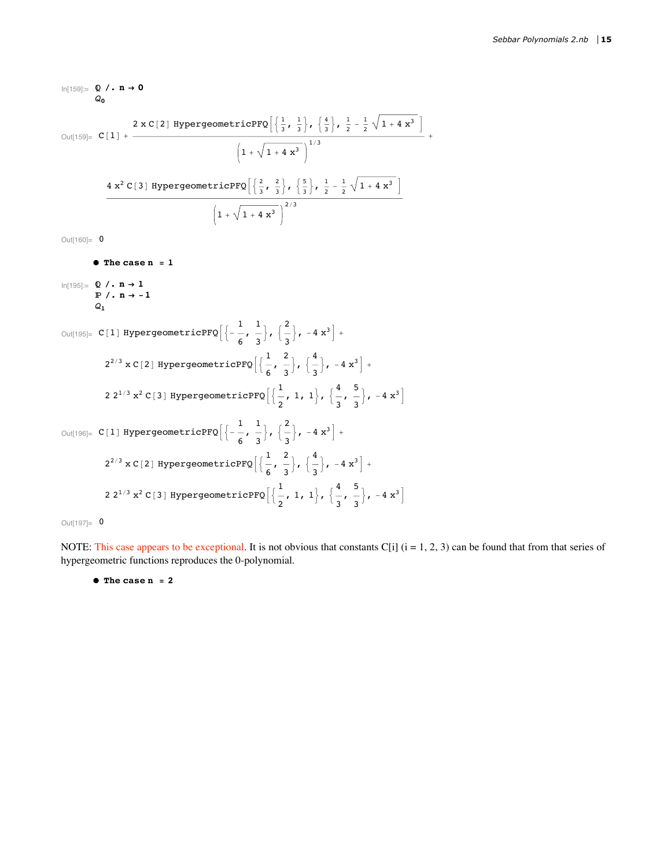$ln[159] = Q / . n \rightarrow 0$  $Q_0$ 2 x C[2] HypergeometricPFQ $\left[\left\{\frac{1}{3}, \frac{1}{3}\right\}, \left\{\frac{4}{3}\right\}, \frac{1}{2} - \frac{1}{2} \sqrt{1 + 4x^3}\right]$  $\left(1+\sqrt{1+4\ x^3}\right)^{1/3}$  $\frac{4 x^2 C[3] \text{ HypergeometricPFQ}\left[\left\{\frac{2}{3}, \frac{2}{3}\right\}, \left\{\frac{5}{3}\right\}, \frac{1}{2} - \frac{1}{2} \sqrt{1 + 4 x^3}\right]}{\left(1 + \sqrt{1 + 4 x^3}\right)^{2/3}}$ Out[160]=  $0$  $\bullet$  The case  $n = 1$  $ln[195] = Q / . n \rightarrow 1$  $\mathbb{P}$  /. n  $\rightarrow$  -1  $Q_{1}$ Out[195]= C[1] HypergeometricPFQ $\left[\left\{-\frac{1}{6}, \frac{1}{3}\right\}, \left\{\frac{2}{3}\right\}, -4 x^3\right]$  +  $2^{2/3}$  x C[2] HypergeometricPFQ $\left[\frac{1}{6}, \frac{2}{3}\right], \left\{\frac{4}{3}\right\}, -4x^3\right]$  + 2 2<sup>1/3</sup> x<sup>2</sup> C[3] HypergeometricPFQ $\left[\frac{1}{2}, 1, 1\right], \left[\frac{4}{3}, \frac{5}{3}\right], -4 x^3$ Out[196]= C[1] HypergeometricPFQ $\left[\left\{-\frac{1}{6}, \frac{1}{3}\right\}, \left\{\frac{2}{3}\right\}, -4 x^3\right]$  +  $2^{2/3}$  x C[2] HypergeometricPFQ $\left[\frac{1}{6}, \frac{2}{3}\right], \left[\frac{4}{3}\right], -4x^3$  + 2 2<sup>1/3</sup> x<sup>2</sup> C[3] HypergeometricPFQ $\left[\frac{1}{2}, 1, 1\right], \left[\frac{4}{3}, \frac{5}{3}\right], -4 x^3$ 

Out $[197] = 0$ 

NOTE: This case appears to be exceptional. It is not obvious that constants C[i]  $(i = 1, 2, 3)$  can be found that from that series of hypergeometric functions reproduces the 0-polynomial.

 $\bullet$  The case n = 2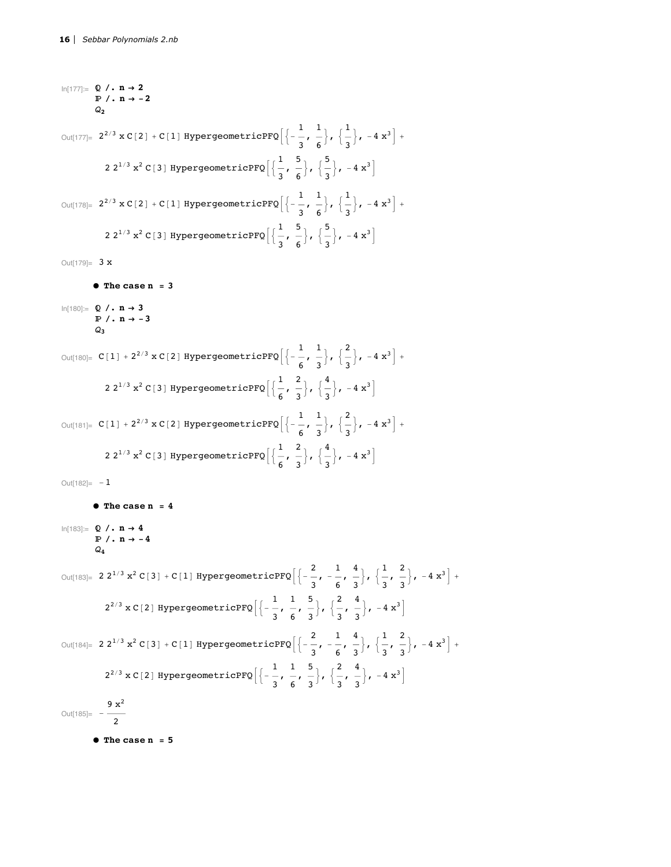```
ln[177] = Q / . n \rightarrow 2\mathbb{P} /. n \rightarrow -2
               Q_{2}Out[177]= 2^{2/3} \times C[2] + C[1] HypergeometricPFQ\left[\left\{-\frac{1}{2}, \frac{1}{6}\right\}, \left\{\frac{1}{2}\right\}, -4 x^3\right] +2 2<sup>1/3</sup> x<sup>2</sup> C[3] HypergeometricPFQ\left[\frac{1}{2}, \frac{5}{6}\right], \left[\frac{5}{2}\right], -4x^3Out[178]= 2^{2/3} \times C[2] + C[1] HypergeometricPFQ\left[\left\{-\frac{1}{2}, \frac{1}{6}\right\}, \left\{\frac{1}{2}\right\}, -4 x^3\right] +2 2<sup>1/3</sup> x<sup>2</sup> C[3] HypergeometricPFQ\left[\frac{1}{2}, \frac{5}{6}\right], \left[\frac{5}{2}\right], -4 x^3
```
Out[179]=  $3x$ 

```
\bullet The case n = 3
```

```
In[180]:=\mathbb{Q} /. n \rightarrow 3\mathbb{P} /. n \rightarrow -3
               Q٠
```

```
Out[180]= C[1] + 2^{2/3} \times C[2] HypergeometricPFQ\left[\left\{-\frac{1}{6}, \frac{1}{2}\right\}, \left\{\frac{2}{3}\right\}, -4 x^3\right] +2 2<sup>1/3</sup> x<sup>2</sup> C[3] HypergeometricPFQ\left[\frac{1}{6}, \frac{2}{3}\right], \left[\frac{4}{3}\right], -4 \times^3Out[181]= C[1] + 2^{2/3} \times C[2] HypergeometricPFQ\left[\left\{-\frac{1}{\epsilon}, \frac{1}{2}\right\}, \left\{\frac{2}{3}\right\}, -4 x^3\right] +2 2<sup>1/3</sup> x<sup>2</sup> C[3] HypergeometricPFQ\left[\frac{1}{6}, \frac{2}{3}\right], \left\{\frac{4}{3}\right\}, -4x^3
```
Out[182]=  $-1$ 

```
\bullet The case n = 4
ln[183] = Q / . n \rightarrow 4\mathbb{P} /. n \rightarrow -4
               \mathcal{Q}_{A}Out[183]= 2 \frac{2^{1/3} x^2 C[3] + C[1]}{4} HypergeometricPFQ\left[\left\{-\frac{2}{3},-\frac{1}{5},\frac{4}{3}\right\},\left\{\frac{1}{2},\frac{2}{3}\right\},-4 x^3\right]+2^{2/3} x C[2] HypergeometricPFQ\left[\left\{-\frac{1}{3}, \frac{1}{6}, \frac{5}{3}\right\}, \left\{\frac{2}{3}, \frac{4}{3}\right\}, -4x^3\right]Out[184]= 2 2^{1/3} x^2 C[3] + C[1] HypergeometricPFQ\left[\left\{-\frac{2}{3}, -\frac{1}{6}, \frac{4}{3}\right\}, \left\{\frac{1}{3}, \frac{2}{3}\right\}, -4 x^3\right] +2^{2/3} x C[2] HypergeometricPFQ\left[\left\{-\frac{1}{2}, \frac{1}{6}, \frac{5}{2}\right\}, \left\{\frac{2}{3}, \frac{4}{3}\right\}, -4x^3\right]Out[185]= -\frac{9 \times ^2}{2}\bullet The case n = 5
```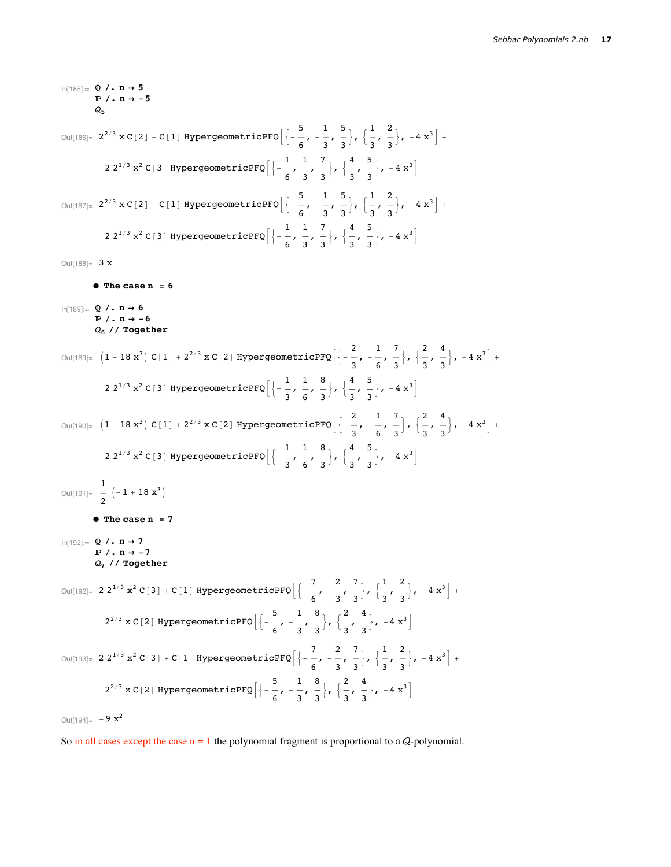```
ln[186] = Q / . n \rightarrow 5\mathbb{P} /. n \rightarrow -5
Out[186]= 2^{2/3} \times C[2] + C[1] HypergeometricPFQ\left[\frac{5}{6}, -\frac{1}{3}, \frac{5}{3}\right], \left[\frac{1}{3}, \frac{2}{3}\right], -4x^3\right] +2 2<sup>1/3</sup> x<sup>2</sup> C[3] HypergeometricPFQ\left[\left\{-\frac{1}{6}, \frac{1}{2}, \frac{7}{3}\right\}, \left\{\frac{4}{3}, \frac{5}{3}\right\}, -4x^3\right]Out[187]= 2^{2/3} \times C[2] + C[1] HypergeometricPFQ\left[\left\{-\frac{5}{5}, -\frac{1}{3}, \frac{5}{3}\right\}, \left\{\frac{1}{2}, \frac{2}{3}\right\}, -4 x^3\right] +2 2<sup>1/3</sup> x<sup>2</sup> C[3] HypergeometricPFQ\left[\left\{-\frac{1}{\epsilon}, \frac{1}{2}, \frac{7}{2}\right\}, \left\{\frac{4}{2}, \frac{5}{2}\right\}, -4x^3\right]Out[188]= 3x\bullet The case n = 6ln[189] = Q / . n \rightarrow 6\mathbb{P} /. n \rightarrow -6
               Q_6 // Together
Out[189]= (1-18x^3) C[1] + 2^{2/3} x C[2] HypergeometricPFQ\left[\left\{-\frac{2}{3}, -\frac{1}{6}, \frac{7}{3}\right\}, \left\{\frac{2}{3}, \frac{4}{3}\right\}, -4x^3\right] +2 2<sup>1/3</sup> x<sup>2</sup> C[3] HypergeometricPFQ\left[\left\{-\frac{1}{3}, \frac{1}{6}, \frac{8}{3}\right\}, \left\{\frac{4}{3}, \frac{5}{3}\right\}, -4x^3\right]Out[190]= (1 - 18x^3) C[1] + 2^{2/3} x C[2] HypergeometricPFQ\left[\left\{-\frac{2}{3}, -\frac{1}{6}, \frac{7}{2}\right\}, \left\{\frac{2}{3}, \frac{4}{3}\right\}, -4x^3\right] +
                  2 2<sup>1/3</sup> x<sup>2</sup> C[3] HypergeometricPFQ\left[\left\{-\frac{1}{2}, \frac{1}{6}, \frac{8}{3}\right\}, \left\{\frac{4}{2}, \frac{5}{3}\right\}, -4x^3\right]Out[191]= \frac{1}{2} \left(-1 + 18 \text{ x}^3\right)\bullet The case n = 7
In[192]:=\mathbb{Q} /. n \rightarrow 7\mathbb{P} /. n \rightarrow -7
               Q_7 // Together
Out[192]= 2 \cdot 2^{1/3} x^2 C[3] + C[1] HypergeometricPFQ\left[\left\{-\frac{7}{6}, -\frac{2}{3}, \frac{7}{3}\right\}, \left\{\frac{1}{2}, \frac{2}{3}\right\}, -4 x^3\right] +2^{2/3} \times C[2] HypergeometricPFQ\left[\frac{5}{6}, -\frac{1}{3}, \frac{8}{3}\right], \left\{\frac{2}{3}, \frac{4}{3}\right\}, -4x^3\right]Out[193]= 2 2^{1/3} x^2 C[3] + C[1] HypergeometricPFQ\left[\left\{-\frac{7}{5}, -\frac{2}{3}, \frac{7}{3}\right\}, \left\{\frac{1}{2}, \frac{2}{3}\right\}, -4 x^3\right] +2^{2/3} x C[2] HypergeometricPFQ\left[\left\{-\frac{5}{6}, -\frac{1}{2}, \frac{8}{3}\right\}, \left\{\frac{2}{3}, \frac{4}{3}\right\}, -4x^3\right]Out[194] = -9 \times^2
```
So in all cases except the case  $n = 1$  the polynomial fragment is proportional to a Q-polynomial.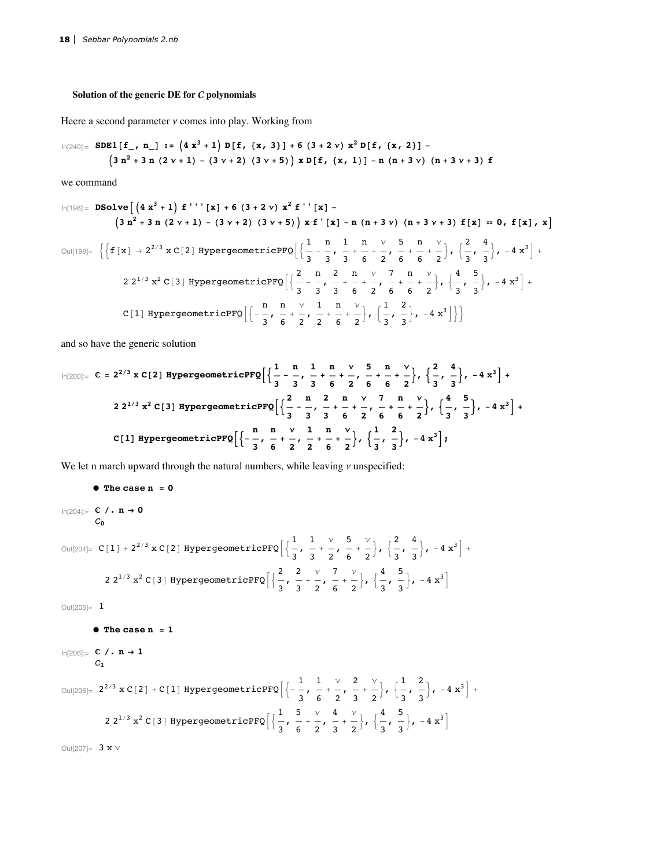# Solution of the generic DE for  $C$  polynomials

Heere a second parameter  $\nu$  comes into play. Working from

$$
\ln[240] := \text{SDE1} [f_1, n_1] := (4x^3 + 1) D[f_1(x, 3)] + 6(3 + 2v) x^2 D[f_1(x, 2)] - (3n^2 + 3n(2v + 1) - (3v + 2)(3v + 5)) x D[f_1(x, 1)] - n(n + 3v) (n + 3v + 3) f
$$

we command

$$
\ln[198] = \text{ DSolve} \left[ \left( 4 \, x^3 + 1 \right) \, f'''' \left[ x \right] + 6 \left( 3 + 2 \, y \right) \, x^2 \, f'' \left[ x \right] - 4 \left( 1 + 3 \, y \right) \left( 1 + 3 \, y + 3 \right) \, f \left[ x \right] = 0, \, f \left[ x \right], \, x \right]
$$
\n
$$
\text{Out[198]} = \left\{ \left\{ f \left[ x \right] \to 2^{2/3} \, x \, C \left[ 2 \right] \, \text{HypergeometricPFQ} \left[ \left\{ \frac{1}{3} - \frac{n}{3}, \, \frac{1}{3} + \frac{n}{6} + \frac{y}{2}, \, \frac{5}{6}, \, \frac{n}{6} + \frac{y}{2} \right\}, \, \left\{ \frac{2}{3}, \, \frac{4}{3} \right\}, \, -4 \, x^3 \right] + 2 \, 2^{1/3} \, x^2 \, C \left[ 3 \right] \, \text{HypergeometricPFQ} \left[ \left\{ \frac{2}{3} - \frac{n}{3}, \, \frac{2}{3} + \frac{n}{6} + \frac{y}{2}, \, \frac{7}{6} + \frac{n}{6} + \frac{y}{2} \right\}, \, \left\{ \frac{4}{3}, \, \frac{5}{3} \right\}, \, -4 \, x^3 \right] + 4 \, 2^{1/3} \, x^2 \, C \left[ 3 \right] \, \text{HypergeometricPFQ} \left[ \left\{ \frac{n}{3}, \, \frac{n}{3}, \, \frac{y}{3}, \, \frac{1}{3}, \, \frac{n}{6} + \frac{y}{2}, \, \frac{1}{2}, \, \frac{n}{6} + \frac{y}{2} \right\}, \, \left\{ \frac{1}{3}, \, \frac{2}{3} \right\}, \, -4 \, x^3 \right] \right\}
$$

and so have the generic solution

$$
\ln[200]:=\mathbb{C}=2^{2/3} \times \mathbb{C}[2] \text{ HypergeometricPFQ}\left[\left\{\frac{1}{3}-\frac{n}{3}, \frac{1}{3}+\frac{n}{3}+\frac{1}{6}+\frac{1}{6}+\frac{1}{6}+\frac{1}{6}+\frac{1}{6}\right\}, \left\{\frac{2}{3}, \frac{4}{3}\right\}, -4x^3\right] +
$$
  
2 2<sup>1/3</sup> x<sup>2</sup> C[3] HypergeometricPFQ\left[\left\{\frac{2}{3}, -\frac{n}{3}, \frac{2}{3}, \frac{n}{3}+\frac{1}{6}+\frac{1}{6}+\frac{1}{6}\right\}, \left\{\frac{4}{3}, \frac{5}{3}\right\}, -4x^3\right] +  
C[1] HypergeometricPFQ\left[\left\{-\frac{n}{3}, \frac{n}{6}+\frac{1}{2}, \frac{n}{2}+\frac{1}{6}+\frac{1}{2}\right\}, \left\{\frac{1}{3}, \frac{2}{3}\right\}, -4x^3\right];

We let n march upward through the natural numbers, while leaving  $\nu$  unspecified:

```
\bullet The case n = 0
```

```
\ln[204] := \mathbb{C} / . \mathbb{n} \to \mathbb{0}C_{0}
```

$$
\text{Out[204]} = C[1] + 2^{2/3} \times C[2] \text{ HypergeometricPFQ} \Big[ \Big\{ \frac{1}{3}, \frac{1}{3} + \frac{1}{2}, \frac{5}{6} + \frac{1}{2} \Big\}, \Big\{ \frac{2}{3}, \frac{4}{3} \Big\}, -4 \times^3 \Big] + 2 \times^{1/3} \times^2 C[3] \text{ HypergeometricPFQ} \Big[ \Big\{ \frac{2}{3}, \frac{2}{3} + \frac{1}{2}, \frac{7}{6} + \frac{1}{2} \Big\}, \Big\{ \frac{4}{3}, \frac{5}{3} \Big\}, -4 \times^3 \Big]
$$

 $Out[205] = 1$ 

```
\bullet The case n = 1
```

```
In[206] = C / . n \rightarrow 1\mathcal{C}_1
```

$$
\text{Out[206]} = 2^{2/3} \times C[2] + C[1] \text{ HypergeometricPFQ}\left[\left\{-\frac{1}{3}, \frac{1}{6} + \frac{1}{2}, \frac{2}{3} + \frac{1}{2}\right\}, \left\{\frac{1}{3}, \frac{2}{3}\right\}, -4 \times^{3}\right] + 2 \times 2^{1/3} \times C[3] \text{ HypergeometricPFQ}\left[\left\{\frac{1}{3}, \frac{5}{6} + \frac{1}{2}, \frac{4}{3} + \frac{1}{2}\right\}, \left\{\frac{4}{3}, \frac{5}{3}\right\}, -4 \times^{3}\right]
$$

Out $[207] = 3 \times V$ 

 $\blacksquare$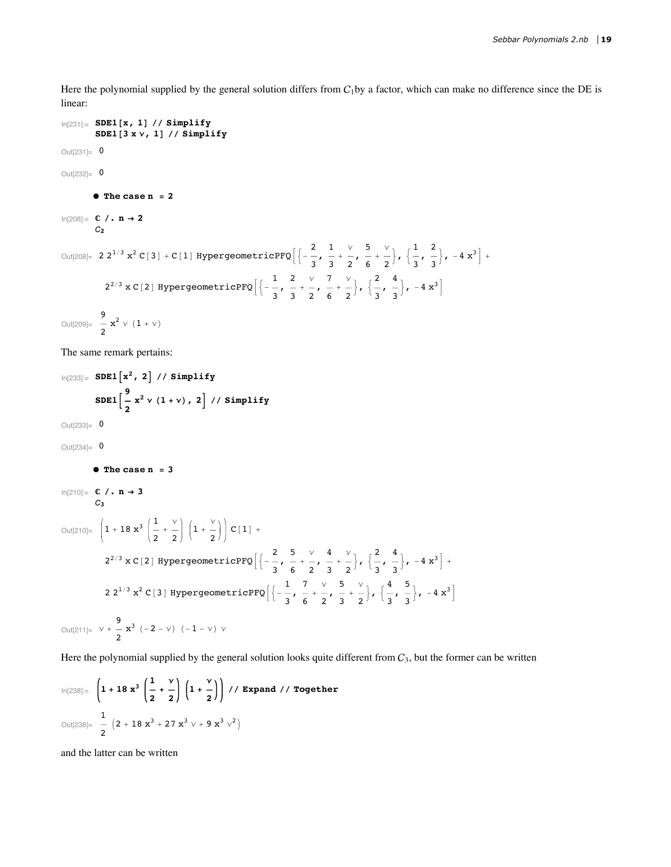Here the polynomial supplied by the general solution differs from  $C_1$ by a factor, which can make no difference since the DE is linear:

```
In[231]: SDE1[x, 1] // Simplify
              SDE1[3 x y, 1] // Simplify
Out[231]= 0
Out[232] = 0\bullet The case n = 2
ln[208] = C / . n \rightarrow 2C_{2}Out[208]= 2 2^{1/3} x^2 C[3] + C[1] HypergeometricPFQ\left[\left\{-\frac{2}{3}, \frac{1}{3}, \frac{\gamma}{2}, \frac{5}{6}, \frac{\gamma}{2}\right\}, \left\{\frac{1}{3}, \frac{2}{3}\right\}, -4 x^3\right] +2^{2/3} \times C[2] HypergeometricPFQ\left[\left\{-\frac{1}{3}, \frac{2}{3} + \frac{v}{2}, \frac{7}{6} + \frac{v}{2}\right\}, \left\{\frac{2}{3}, \frac{4}{3}\right\}, -4x^3\right]Out[209]= \frac{9}{2}x^2 \sqrt{(1 + \gamma)}The same remark pertains:
\ln[233] = SDE1 \lceil x^2, 2 \rceil // Simplify
             SDE1\left[\frac{9}{2}x^2 \vee (1+\vee), 2\right] // Simplify
Out[233] = 0Out[234]= 0
             \bullet The case n = 3In[210]:=\mathbb{C} /. n \rightarrow 3\mathcal{C}Out[210]= \left(1 + 18 x^3 \left(\frac{1}{2} + \frac{v}{2}\right) \left(1 + \frac{v}{2}\right)\right) C[1] +2^{2/3} \times C[2] HypergeometricPFQ\left[\left\{-\frac{2}{3}, \frac{5}{6}, \frac{\sqrt{4}}{2}, \frac{\sqrt{4}}{3}, \frac{\sqrt{2}}{2}\right\}, \left\{\frac{2}{3}, \frac{4}{3}\right\}, -4x^3\right] +
                2 2<sup>1/3</sup> x<sup>2</sup> C[3] HypergeometricPFQ\left[\left\{-\frac{1}{3}, \frac{7}{6}, \frac{7}{2}, \frac{5}{3}, \frac{9}{2}\right\}, \left\{\frac{4}{3}, \frac{5}{3}\right\}, -4x^3\right]Out[211]= v + \frac{9}{2}x^3 (-2 - v) (-1 - v) v
Here the polynomial supplied by the general solution looks quite different from C_3, but the former can be written
```

$$
\ln[238] = \left(1 + 18 \, x^3 \left(\frac{1}{2} + \frac{v}{2}\right) \left(1 + \frac{v}{2}\right)\right) \frac{v}{\text{Expand } \frac{1}{2}} \text{ Together}
$$
\n
$$
\text{Out}[238] = \frac{1}{2} \left(2 + 18 \, x^3 + 27 \, x^3 \, v + 9 \, x^3 \, v^2\right)
$$

and the latter can be written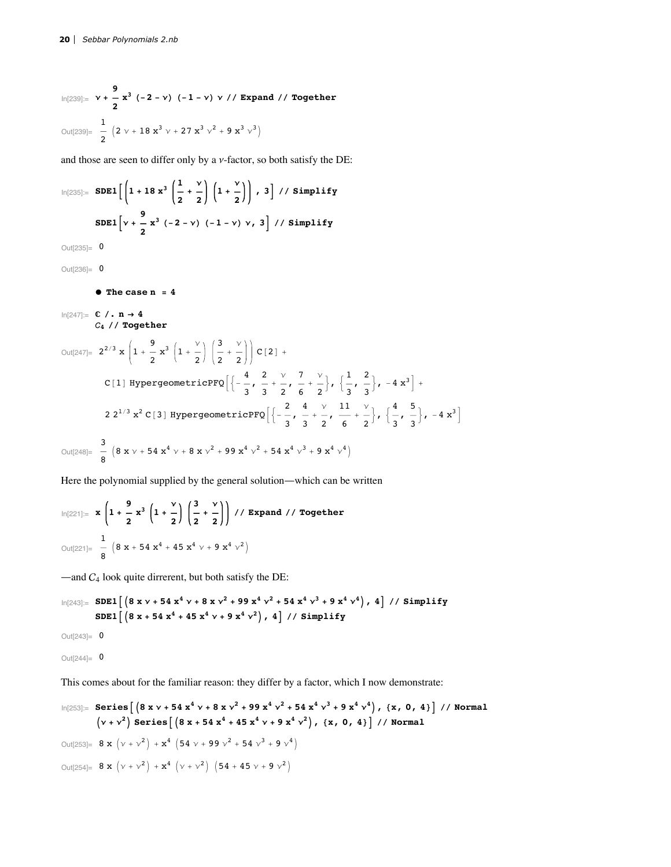$$
\ln[239] = \mathbf{v} + \frac{9}{2} \mathbf{x}^{3} (-2 - \mathbf{v}) (-1 - \mathbf{v}) \mathbf{v} // \text{ Expand } // \text{ Together}
$$
\n
$$
\text{Out}[239] = \frac{1}{2} \left( 2 \mathbf{v} + 18 \mathbf{x}^{3} \mathbf{v} + 27 \mathbf{x}^{3} \mathbf{v}^{2} + 9 \mathbf{x}^{3} \mathbf{v}^{3} \right)
$$

and those are seen to differ only by a  $\nu$ -factor, so both satisfy the DE:

$$
\ln[235] = \text{SDE1}\left[\left(1 + 18 \times \frac{3}{2}\left(\frac{1}{2} + \frac{v}{2}\right)\left(1 + \frac{v}{2}\right)\right), 3\right] // \text{Simplify}
$$
\n
$$
\text{SDE1}\left[v + \frac{9}{2} \times \frac{3}{2}(-2 - v) (-1 - v) v, 3\right] // \text{Simplify}
$$

 $Out[235] = 0$ 

 $Out[236] = 0$ 

```
\bullet The case n = 4
```

```
ln[247] = C / . n \rightarrow 4C_4 // Together
```

```
Out[247]= 2^{2/3} x \left(1 + \frac{9}{2}x^3\left(1 + \frac{y}{2}\right)\left(\frac{3}{2} + \frac{y}{2}\right)\right) C[2] +
                      C[1] HypergeometricPFQ\left[\left\{-\frac{4}{3}, \frac{2}{3}+\frac{v}{2}, \frac{7}{6}+\frac{v}{2}\right\}, \left\{\frac{1}{3}, \frac{2}{3}\right\}, -4x^3\right] +
                      2 2<sup>1/3</sup> x<sup>2</sup> C[3] HypergeometricPFQ\left[\left\{-\frac{2}{3}, \frac{4}{3}+\frac{\nu}{2}, \frac{11}{6}+\frac{\nu}{2}\right\}, \left\{\frac{4}{3}, \frac{5}{3}\right\}, -4x^3\right]Out[248]= \frac{3}{8} \left(8 \times \nu + 54 \times^4 \nu + 8 \times \nu^2 + 99 \times^4 \nu^2 + 54 \times^4 \nu^3 + 9 \times^4 \nu^4\right)
```
Here the polynomial supplied by the general solution-which can be written

$$
\ln[221] = \mathbf{x} \left( 1 + \frac{9}{2} \mathbf{x}^3 \left( 1 + \frac{9}{2} \right) \left( \frac{3}{2} + \frac{9}{2} \right) \right) / / \text{ Expand } / \text{ Together}
$$
\n
$$
\text{Out[221]} = \frac{1}{8} \left( 8 \mathbf{x} + 54 \mathbf{x}^4 + 45 \mathbf{x}^4 \sqrt{9} + 9 \mathbf{x}^4 \sqrt{9} \right)
$$

 $-$ and  $C_4$  look quite dirrerent, but both satisfy the DE:

$$
\ln[243] := \text{SDE1}\left[\left(8 \times \nu + 54 \times 4 \cdot \nu + 8 \times \nu^2 + 99 \times 4 \cdot \nu^2 + 54 \times 4 \cdot \nu^3 + 9 \times 4 \cdot \nu^4\right), 4\right] // \text{Simplify}
$$
\n
$$
\text{SDE1}\left[\left(8 \times \nu + 54 \times 4 \cdot 45 \times 4 \cdot \nu + 9 \times 4 \cdot \nu^2\right), 4\right] // \text{Simplify}
$$

Out $[243] = 0$ 

Out $[244] = 0$ 

This comes about for the familiar reason: they differ by a factor, which I now demonstrate:

$$
\ln[253] = \text{Series}\left[\left(8 \times \nu + 54 \times 4 \nu + 8 \times \nu^2 + 99 \times 4 \nu^2 + 54 \times 4 \nu^3 + 9 \times 4 \nu^4\right), \{x, 0, 4\}\right] / / \text{Normal}
$$
\n
$$
\left(\nu + \nu^2\right) \text{Series}\left[\left(8 \times + 54 \times 4 + 45 \times 4 \nu + 9 \times 4 \nu^2\right), \{x, 0, 4\}\right] / / \text{Normal}
$$
\n
$$
\text{Out}[253] = 8 \times \left(\nu + \nu^2\right) + \chi^4 \left(54 \nu + 99 \nu^2 + 54 \nu^3 + 9 \nu^4\right)
$$
\n
$$
\text{Out}[254] = 8 \times \left(\nu + \nu^2\right) + \chi^4 \left(\nu + \nu^2\right) \left(54 + 45 \nu + 9 \nu^2\right)
$$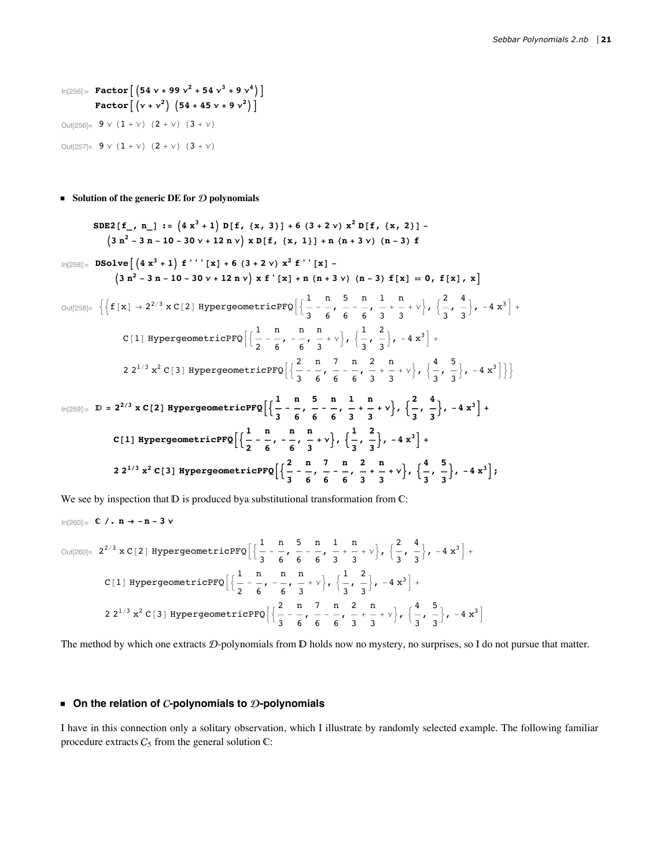$\ln[256]$ := Factor $[(54 \vee + 99 \vee^2 + 54 \vee^3 + 9 \vee^4)]$ Factor  $[(v + v^2) (54 + 45 v + 9 v^2)]$ Out<br>[256]=  $9 \vee (1 + \vee) (2 + \vee) (3 + \vee)$ Out $[257] = 9 \vee (1 + \vee) (2 + \vee) (3 + \vee)$ 

Solution of the generic DE for  $D$  polynomials

$$
SDE2[f_{-}, n_{-}] := (4x3 + 1) D[f, {x, 3}] + 6 (3 + 2 v) x2 D[f, {x, 2}] - (3 n2 - 3 n - 10 - 30 v + 12 n v) x D[f, {x, 1}] + n (n + 3 v) (n - 3) f
$$
\n
$$
\ln[258] = DSolve \left[ (4x3 + 1) f'''[x] + 6 (3 + 2 v) x2 f'[x] - (3 n2 - 3 n - 10 - 30 v + 12 n v) x f'[x] + n (n + 3 v) (n - 3) f[x] = 0, f[x], x \right]
$$
\n
$$
Out[258] = \left\{ \left\{ f[x] \rightarrow 2^{2/3} x C[2] \text{ HypergeometricPFQ} \left[ \frac{1}{3} - \frac{n}{6}, \frac{5}{6} - \frac{n}{6}, \frac{1}{3} + \frac{n}{3} + v \right], \left\{ \frac{2}{3}, \frac{4}{3} \right\}, -4x3 \right] + C[1] \text{ HypergeometricPFQ} \left[ \left\{ \frac{1}{2} - \frac{n}{6}, -\frac{n}{6}, \frac{n}{3} + v \right\}, \left\{ \frac{1}{3}, \frac{2}{3} \right\}, -4x3 \right] + 221/3 x2 C[3] \text{ HypergeometricPFQ} \left[ \left\{ \frac{2}{3} - \frac{n}{6}, \frac{7}{6} - \frac{n}{6}, \frac{2}{3} + \frac{n}{3} + v \right\}, \left\{ \frac{4}{3}, \frac{5}{3} \right\}, -4x3 \right] \right\}
$$
\n
$$
ln[259] = D = 22/3 x C[2] \text{ HypergeometricPFQ} \left[ \left\{ \frac{1}{3} - \frac{n}{6}, \frac{5}{6} - \frac{n}{6}, \frac{1}{3} + \frac{n}{3} + v \right\}, \left\{ \frac{2}{3}, \frac{4}{3} \right\}, -4x3 \right] + C[1] \text{ HypergeometricPFQ} \left[ \left\{ \frac{1}{2
$$

We see by inspection that  $D$  is produced by a substitutional transformation from  $C$ :

$$
In[260]:=\mathbb{C} \; / \; . \; n \rightarrow -n-3 \; \nu
$$

$$
\text{Out[260]} = 2^{2/3} \times C[2] \text{ HypergeometricPFQ} \left[ \left\{ \frac{1}{3} - \frac{n}{6}, \frac{5}{6} - \frac{n}{6}, \frac{1}{3} + \frac{n}{3} + \gamma \right\}, \left\{ \frac{2}{3}, \frac{4}{3} \right\}, -4 \times^3 \right] +
$$
\n
$$
C[1] \text{ HypergeometricPFQ} \left[ \left\{ \frac{1}{2} - \frac{n}{6}, -\frac{n}{6}, \frac{n}{3} + \gamma \right\}, \left\{ \frac{1}{3}, \frac{2}{3} \right\}, -4 \times^3 \right] +
$$
\n
$$
2 \times 2^{1/3} \times^2 C[3] \text{ HypergeometricPFQ} \left[ \left\{ \frac{2}{3} - \frac{n}{6}, \frac{7}{6} - \frac{n}{6}, \frac{2}{3} + \frac{n}{3} + \gamma \right\}, \left\{ \frac{4}{3}, \frac{5}{3} \right\}, -4 \times^3 \right]
$$

The method by which one extracts D-polynomials from D holds now no mystery, no surprises, so I do not pursue that matter.

# • On the relation of C-polynomials to  $\mathcal D$ -polynomials

I have in this connection only a solitary observation, which I illustrate by randomly selected example. The following familiar procedure extracts  $C_5$  from the general solution  $\mathbb{C}$ :